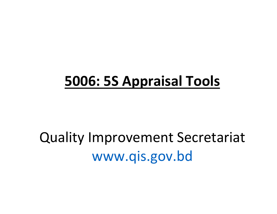## 5006: 5S Appraisal Tools

## Quality Improvement Secretariat www.qis.gov.bd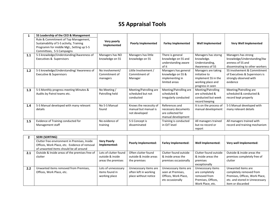## 5S Appraisal Tools

| 1   | 5S Leadership of the CEO & Management<br>Rule & Commitment of Top Management,<br>Sustainability of 5-S activity, Training<br>Programm for middle Mgt., Setting up 5-S<br>Committees, 5-S Campaigns | Very poorly<br>Implemented                   | <b>Poorly Implemented</b>                                       | <b>Farley Implemented</b>                                                        | <b>Well Implemented</b>                                                                              | <b>Very Well Implemented</b>                                                                             |
|-----|----------------------------------------------------------------------------------------------------------------------------------------------------------------------------------------------------|----------------------------------------------|-----------------------------------------------------------------|----------------------------------------------------------------------------------|------------------------------------------------------------------------------------------------------|----------------------------------------------------------------------------------------------------------|
| 1.1 | 5-S knowledge/Understanding/Awareness of<br>Executives & Supervisors                                                                                                                               | Managers has NO<br>knowledge on 5S           | Managers has little<br>knowledge on 5S                          | There is general<br>knowledge on 5S and<br>understanding aware<br>of it          | Managers has storng<br>knowledge.<br>Understanding,<br>Awareness of 5S                               | Managers has strong<br>knowledge/Understanding/Aw<br>areness of 5S and<br>disseminating to other workers |
| 1.2 | 5-S knowledge/Understanding/ Awareness of<br><b>Executive &amp; Supervisors</b>                                                                                                                    | No involvement/<br>Commitment of<br>managers | Little Involvement /<br>Commitment of<br>Manager                | Managers has general<br>knowledge on 5S &<br>implementing in<br>limited areas    | Managers are taking<br>initiative to<br>implement 5S in the<br>working place and<br>progress in seen | 5S involvement & Commitment<br>of Executives & Supervisors is<br>strongly observed with<br>evidence      |
| 1.3 | 5-S Monthly progress meeting Minutes &<br>Audits by Patrol teams etc.                                                                                                                              | No Meeting /<br>Patrolling held              | Meeting/Patrolling are<br>scheduled but not<br>conducted        | Meeting/Patrolling are<br>scheduled &<br>irregularly conducted                   | Meeting/Patrolling<br>are scheduled &<br>conducted but week<br>record keeping                        | Meeting/Patrolling are<br>scheduled & conducted &<br>record kept properly                                |
| 1.4 | 5-S Manual developed with many relevant<br>details                                                                                                                                                 | No 5-S Manual<br>found                       | Knows the necessity of<br>manual but manual is<br>not developed | References and<br>necessary documents<br>are collected for<br>manual development | It is on the process of<br>manual development                                                        | 5-S Manual developed with<br>many relevant details                                                       |
| 1.5 | Evidence of Training conducted for<br>Management staff                                                                                                                                             | No evidence of<br>training                   | 5-S Concept is<br>disseminated                                  | Training is conducted<br>in OJT level                                            | All managers trained<br>but no record or<br>report                                                   | All managers trained with<br>record and training mechanism                                               |

|     | <b>SEIRI (SORTING)</b>                         |                       |                        |                            |                       |                                |
|-----|------------------------------------------------|-----------------------|------------------------|----------------------------|-----------------------|--------------------------------|
|     | Clutter free environment in Premises, Inside   | <b>Very Poorly</b>    |                        | <b>Farley Implemented:</b> | Well Implemented:     | Very well Implemented:         |
|     | Offices, Work Place, etc. Evidence of removal  | Implemented:          | Poorly Implemented:    |                            |                       |                                |
|     | of unwanted items should be all around         |                       |                        |                            |                       |                                |
| 2.1 | Outside & Inside areas of the premises free of | Lots of clutter found | Often clutter found    | Clutter found outside      | Clutter found outside | Outside & inside areas the     |
|     | clutter                                        | outside & inside      | outside & inside areas | & inside areas the         | & inside areas the    | premises completely free of    |
|     |                                                | areas the premises    | the premises           | premises occasionally      | premises              | clutter                        |
|     |                                                |                       |                        |                            | exceptionally         |                                |
| 2.2 | Unwanted items removed from Premises,          | Lots of unnecessary   | Unnecessary items are  | Unnecessary items are      | Unnecessary items     | Unwanted items are             |
|     | Offices, Work Place, etc.                      | items found in        | often left in working  | seen at Premises,          | are completely        | completely removed from        |
|     |                                                | working place         | place without notice   | Offices, Work Place,       | removed from          | Premises, Offices, Work Place, |
|     |                                                |                       |                        | etc occasionally           | Premises, Offices,    | etc. and stored in Unnecessary |
|     |                                                |                       |                        |                            | Work Place, etc.      | item or discarded              |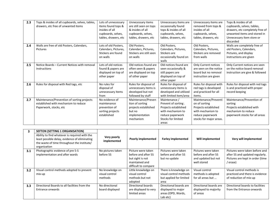| 2.3 | Tops & insides of all cupboards, selves, tables, | Lots of unnecessary  | Unnecessary items       | Unnecessary items are     | Unnecessary items are       | Tops & insides of all            |
|-----|--------------------------------------------------|----------------------|-------------------------|---------------------------|-----------------------------|----------------------------------|
|     | drawers, etc free of unwanted items              | items found tops &   | are still seen on tops  | occasionally found        | removed from tops &         | cupboards, selves, tables,       |
|     |                                                  | insides of all       | & insides of all        | tops & insides of all     | insides of all              | drawers, etc completely free of  |
|     |                                                  | cupboards, selves,   | cupboards, selves,      | cupboards, selves,        | cupboards, selves,          | unwanted items and stored in     |
|     |                                                  | tables, drawers, etc | tables, drawers, etc    | tables, drawers, etc      | tables, drawers, etc        | Unnecessary item store or        |
|     |                                                  |                      |                         |                           |                             | discarded                        |
| 2.4 | Walls are free of old Posters, Calendars,        | Lots of old Posters, | Old Posters,            | Old Posters,              | Old Posters,                | Walls are completely free of     |
|     | Pictures                                         | Calendars, Pictures, | Calendars, Pictures,    | Calendars, Pictures,      | Calendars, Pictures,        | old Posters, Calendars,          |
|     |                                                  | Stickers are found   | Stickers are still seen | Stickers are              | Stickers are removed        | Pictures, and display            |
|     |                                                  | on walls             | on walls                | occasionally found on     | from walls                  | instructions are given           |
|     |                                                  |                      |                         | walls                     |                             |                                  |
| 2.5 | Notice Boards - Current Notices with removal     | Lots of old notices  | Old notices found are   | Old notices found are     | <b>Only Current notices</b> | Only Current notices are seen    |
|     | instructions                                     | found & papers are   | often seen & papers     | seen occasionally &       | are seen on the notice      | on the notice board removal      |
|     |                                                  | displayed on top of  | are displayed on top    | still papers are          | board but no removal        | instruction are give & followed  |
|     |                                                  | other paper          | of other paper          | displayed on top of       | instruction are given       |                                  |
|     |                                                  |                      |                         | other paper               |                             |                                  |
| 2.6 | Rules for disposal with Red tags, etc            | No rules for         | Rules for disposal of   | Rules for disposal of     | Rules for disposal with     | Rules for disposal with red tags |
|     |                                                  | disposal of          | unnecessary items is    | unnecessary items is      | red tags is developed       | is and practiced with proper     |
|     |                                                  | unnecessary items    | developed but not       | developed and utilized    | and practiced for all       | record keeping                   |
|     |                                                  | from                 | followed by stuff       | with limited item/area    | items.                      |                                  |
| 2.7 | Maintenance/Prevention of sorting projects       | No evidence of       | Maintenance/Preven      | Maintenance /             | Maintenance/Preventi        | Maintenance/Prevention of        |
|     | established with mechanism to reduce             | maintenance          | tion of sorting         | Prevent of sorting.       | on of sorting               | sorting                          |
|     | Paperwork, stocks, etc                           | prevention of        | projects established    | Projects established      | Projects established        | Projects established with        |
|     |                                                  | sorting projects     | but no                  | with mechanism to         | with mechanism to           | mechanism to reduce              |
|     |                                                  | established          | implementation          | reduce paperwork          | reduce paperwork            | paperwork stocks for all areas   |
|     |                                                  |                      | mechanism               | <b>Stocks for limited</b> | stocks for major areas.     |                                  |
|     |                                                  |                      |                         | areas                     |                             |                                  |

| 3   | SEFTON (SETTING 1 ORGANISATION)<br>Ability to find whatever is required with the<br>least possible delay, evidence of eliminating<br>the waste of time throughout the institute/<br>organization | Very poorly<br>implemented                   | <b>Poorly implemented</b>                                                                               | <b>Farley implemented</b>                                                          | Will implemented                                                                 | Very will implemented                                                                                             |
|-----|--------------------------------------------------------------------------------------------------------------------------------------------------------------------------------------------------|----------------------------------------------|---------------------------------------------------------------------------------------------------------|------------------------------------------------------------------------------------|----------------------------------------------------------------------------------|-------------------------------------------------------------------------------------------------------------------|
| 3.1 | Photographic evidence of pre 5-S<br>implementation and after wards                                                                                                                               | No pictures taken<br>before 5S               | Picture were taken<br>before and after 5S<br>but sight is not<br>maintained and<br>difficult to compare | Pictures were taken<br>before and after 5S<br>but no update                        | Pictures were taken<br>before and after 5S<br>and updated but not<br>well stored | Pictures were taken before and<br>after 5S and updated regularly.<br>Pictures are kept in order (time<br>/ erase) |
| 3.2 | Visual control methods adopted to prevent<br>mix-up                                                                                                                                              | No knowledge on<br>visual control<br>methods | Little knowledge on<br>visual control<br>methods but not<br>adopted                                     | There is knowledge on<br>visual control methods<br>but applied for limited<br>area | Visual control<br>methods is adopted<br>for all areas but                        | Visual control methods is<br>practiced and there is evidence<br>of reduction of mix-up                            |
| 3.3 | Directional Boards to all facilities from the<br>Entrance onwards                                                                                                                                | No directional<br>board displayed            | Directional boards<br>are displayed to very<br>limited areas                                            | Directional boards are<br>displayed to major<br>areas (OPD, Wards,<br>Lab etc)     | Directional boards are<br>displayed to majority<br>of areas                      | Directional boards to facilities<br>from the Entrance onwards                                                     |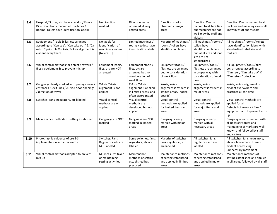| 3.4  | Hospital / Stores, etc, have corridor / Floor/<br>Direction clearly marked all machines /<br>Rooms {Toilets have identification labels}                             | No direction<br>marked                                               | <b>Direction marks</b><br>observed at very<br>limited areas                              | Direction marks<br>observed at major<br>areas                                         | <b>Direction Clearly</b><br>marked to all facilities<br>but meanings are not                                               | Direction Clearly marked to all<br>facilities and meanings are well<br>know by stuff and visitors                                       |
|------|---------------------------------------------------------------------------------------------------------------------------------------------------------------------|----------------------------------------------------------------------|------------------------------------------------------------------------------------------|---------------------------------------------------------------------------------------|----------------------------------------------------------------------------------------------------------------------------|-----------------------------------------------------------------------------------------------------------------------------------------|
|      |                                                                                                                                                                     |                                                                      |                                                                                          |                                                                                       | well know by stuff and<br>visitors                                                                                         |                                                                                                                                         |
| 3.5  | Equipement / Tools {Files, etc arranged<br>according to "Can see", "Can take out" & "Can<br>return" principle X - Axis, Y- Axis alignment is<br>evident every there | No labels for<br>identification of<br>machines / rooms<br>[toilets ] | Limited machines /<br>rooms / toilets have<br>identification labels                      | Majority of machines /<br>rooms / toilets have<br>identification labels               | All machines / rooms /<br>toilets have<br>identification labels<br>but label size and font<br>size are not<br>standardized | All machines / rooms / toilets<br>have identification labels with<br>standardized label size and<br>font size                           |
| 3.6  | Visual control methods for defect / rework /<br>files / equipment & to prevent mix-up                                                                               | Equipment (tools/<br>files, etc are NOT<br>arranged                  | Equipment /tools /<br>files, etc are<br>arranged but no<br>consideration of<br>work flow | Equipment [tools /<br>files, etc are arranged<br>but no consideration<br>of work flow | Equipment / tools /<br>files, etc are arranged<br>in proper way with<br>consideration of work<br>flow                      | All Equipment / tools / files,<br>etc, arranged according to<br>"Can see", "Can take out" &<br>"Can return" principle                   |
| 3.7  | Gangways clearly marked with passage ways /<br>entrances & exit lines / curved door openings<br>/ direction of travel                                               | X-Axis, Y-Axis<br>alignment is not<br>applied                        | X-Axis, Y-Axis<br>alignment is applied<br>in limited areas, and<br>often disorganized    | X-Axis, Y-Axis<br>alignment is evident in<br>limited areas, (notice<br>boards)        | X-Axis, Y-Axis<br>alignment is evident in<br>major areas                                                                   | X-Axis, Y-Axis alignment is<br>evident everywhere and<br>practiced all the time                                                         |
| 3.8  | Switches, Fans, Regulators, etc labeled                                                                                                                             | Visual control<br>methods are on<br>applied                          | Visual control<br>methods are<br>developed but not<br>applied                            | Visual control<br>methods are applied<br>for limited items and<br>areas               | Visual control<br>methods are applied<br>for major items and<br>areas                                                      | Visual control methods are<br>applied for all<br>Defects but rework / files /<br>equipment and to prevent mix-<br><b>up</b>             |
| 3.9  | Maintenance methods of setting established                                                                                                                          | Gangways are NOT<br>marked                                           | Gangways are NOT<br>marked in limited<br>areas                                           | Gangways clearly<br>marked with major<br>areas                                        | Gangways clearly<br>marked with all<br>necessary areas                                                                     | Gangways clearly marked with<br>all necessary areas and<br>maintaining of marks are well<br>known and followed by staff<br>and visitors |
| 3.10 | Photographic evidence of pre 5-S<br>implementation and after wards                                                                                                  | Switches, Fans,<br>Regulators, etc are<br><b>NOT labeled</b>         | Some switches, fans,<br>regulators, etc are<br>labeled                                   | Majority of switches,<br>fans, regulators, etc<br>are labeled                         | All switches, fans,<br>regulators, etc are<br>labeled                                                                      | All switches, fans, regulators,<br>etc are labeled and there is<br>evident of reducing<br>unnecessary movement                          |
| 3.11 | Visual control methods adopted to prevent<br>mix-up                                                                                                                 | NO measures taken<br>of maintaining<br>setting activities            | Maintenance<br>methods of setting<br>established but<br>practiced                        | Maintenance methods<br>of setting established<br>and applied in limited<br>areas      | Maintenance methods<br>of setting established<br>and applied in major<br>areas                                             | Maintenance methods of<br>setting established and applied<br>in all areas, followed by all staff                                        |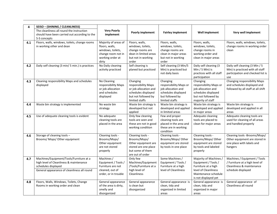| 4   | SEISO - (SHINING / CLEANLINESS)                                                                                                                          |                                                                                                                |                                                                                                                          |                                                                                                                      |                                                                                                                                              |                                                                                                                   |
|-----|----------------------------------------------------------------------------------------------------------------------------------------------------------|----------------------------------------------------------------------------------------------------------------|--------------------------------------------------------------------------------------------------------------------------|----------------------------------------------------------------------------------------------------------------------|----------------------------------------------------------------------------------------------------------------------------------------------|-------------------------------------------------------------------------------------------------------------------|
|     | The cleanliness all round the instruction<br>should have been carried out according to the<br>5-S concepts                                               | <b>Very Poorly</b><br>implement                                                                                | <b>Poorly implement</b>                                                                                                  | <b>Fairley implement</b>                                                                                             | Well implement                                                                                                                               | Very well implement                                                                                               |
| 4.1 | Floors, walls, windows, toilets, change rooms<br>in working other and dean                                                                               | Majority of areas of<br>floors, walls,<br>windows, toilets,<br>change room not in<br>working order at<br>dirty | Floors, walls,<br>windows, toilets,<br>change rooms are<br>dean in limited areas<br>but not in working<br>order          | Floors, walls,<br>windows, toilets,<br>change rooms are<br>clean in major areas<br>but not in working<br>order       | Floors, walls,<br>windows, toilets,<br>change rooms in<br>working order and<br>clean in major areas                                          | Floors, walls, windows, toilets,<br>change rooms in working order<br>clean                                        |
| 4.2 | Daily self cleaning (3 min/ 5 min.) is practices                                                                                                         | No Daily cleaning<br>activity practiced                                                                        | Self cleaning is<br>planed but practiced                                                                                 | Self cleaning (3 Min/5<br>Min) is practiced but<br>not daily basis                                                   | Daily self cleaning (3<br>Min $/$ 5 Min) is<br>practices with all staff<br>participation                                                     | Daily self cleaning (3 Min / 5<br>Min) is practiced with all staff<br>participation and checked list is<br>use    |
| 4.3 | Cleaning responsibility Maps and schedules<br>displayed                                                                                                  | No Cleaning<br>responsibility Maps<br>or job allocation<br>and schedules<br>displayed                          | Changing<br>responsibility Maps<br>or job allocation and<br>schedules displayed<br>but not followed by<br>limited staffs | Changing<br>responsibility Maps or<br>job allocation and<br>schedules displayed<br>but followed by<br>limited staffs | Changing<br>responsibility Maps or<br>job allocation and<br>schedules displayed<br>but not followed by<br>majority of staff                  | Changing responsibility Maps<br>and schedules displayed and<br>followed by all staff at all shift                 |
| 4.4 | Waste bin strategy is implemented                                                                                                                        | No waste bin<br>strategy                                                                                       | Waste bin strategy is<br>developed but not<br>applied                                                                    | Waste bin strategy is<br>developed and applied<br>in limited areas                                                   | Waste bin strategy is<br>developed and applied<br>in major areas                                                                             | Waste bin strategy is<br>developed and applied in all<br>areas                                                    |
| 4.5 | Use of adequate cleaning tools is evident                                                                                                                | No adequate<br>cleaning tools are<br>placed in the area                                                        | Only few cleaning<br>tools are seen and<br>these are not in good<br>working condition                                    | Few and proper<br>cleaning tools are<br>placed in the area and<br>these are in working<br>condition                  | Adequate cleaning<br>tools are placed to<br>clean for major areas                                                                            | Adequate cleaning tools are<br>used for cleaning of all areas<br>and handled properly                             |
| 4.6 | Storage of cleaning tools -<br>Brooms/ Mops/ Other equipment                                                                                             | Cleaning tools -<br>Brooms/Mops/<br>Other equipment<br>are not stored<br>properly                              | Cleaning tools -<br>Brooms/Mops/<br>Other equipment are<br>stored are one place<br>but some of them<br>are out of order  | Cleaning tools -<br>Brooms/Mops/ Other<br>equipment are stored<br>by tools in one place                              | Cleaning tools -<br>Brooms/Mops/ Other<br>equipment are stored<br>by tools and labeled<br>properly                                           | Cleaning tools -Brooms/Mops/<br>Other equipment are stored in<br>one place with labels and<br>hangers             |
| 4.7 | Machines/Equipment/Tools/Furniture at a<br>high level of Cleanliness & maintenance<br>schedules displayed<br>General appearance of cleanliness all round | Machines /<br>Equipment / Tools /<br>Furniture are not<br>cleaned, out of<br>order, or in trouble              | Only few<br>Machines/Equipment<br>/Tools/Furniture at a<br>high level of<br><b>Cleanliness</b>                           | Some Machines /<br>Equipment / Tools /<br>Furniture at a high<br>level of Cleanliness                                | Majority of Machines /<br>Equipment / Tools /<br>Furniture at a high<br>level of Cleanliness<br>Maintenance schedule<br>is not displayed yet | Machines / Equipment / Tools<br>/ Furniture at a high level of<br>Cleanliness & maintenance<br>schedule displayed |
| 4.8 | Floors, Walls, Windows, Toilets, Change<br>Rooms in working order and clean                                                                              | General appearance<br>of the area is dirty,<br>smelly and<br>disorganized                                      | General appearance<br>is clean but<br>disorganized                                                                       | General appearance is<br>clean, tidy and<br>organized in limited<br>areas                                            | General appearance is<br>clean, tidy and<br>organized in major<br>areas                                                                      | General appearance of<br>Cleanliness all round                                                                    |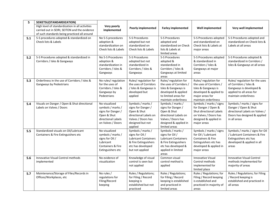| 5   | SEIKETSU(STANDARDIZATION)                       |                            |                                        |                                             |                                           |                                                  |
|-----|-------------------------------------------------|----------------------------|----------------------------------------|---------------------------------------------|-------------------------------------------|--------------------------------------------------|
|     | High level of standardization in all activities | Very poorly                | <b>Poorly implemented</b>              | <b>Farley implemented</b>                   | <b>Well implemented</b>                   | Very well implemented                            |
|     | carried out in SEIRI, SEITON and the evidence   | implemented                |                                        |                                             |                                           |                                                  |
|     | of such standards being practiced all around    |                            |                                        |                                             |                                           |                                                  |
| 5.1 | 5-S procedures adopted & standardized on        | No 5-S procedures          | 5-S Procedures                         | 5-S Procedures                              | 5-S Procedures adopted                    | 5-S Procedures adopted and                       |
|     | Check lists & Labels                            | adoption &                 | adopted but not                        | adopted and                                 | and standardized on                       | standardized on Check lists &                    |
|     |                                                 | standardization on         | standardized on                        | standardized on Check                       | Check lists & Labels at                   | Labels at all areas                              |
|     |                                                 | Check lists & Labels       | Check lists & Labels                   | lists & Labels at                           | major areas                               |                                                  |
|     |                                                 |                            |                                        | limited areas                               |                                           |                                                  |
| 5.2 | 5-S Procedures adopted & standardized in        | No 5-S Procedures          | 5-S Procedures                         | 5-S Procedures                              | 5-S Procedures adopted                    | 5-S Procedures adopted &                         |
|     | Corridors / Isles & Gangways                    | adoption &                 | adopted but not                        | adopted &                                   | & standardized in                         | standardized in Corridors /                      |
|     |                                                 | standardization in         | standardized in                        | standardized in                             | Corridors / Isles &                       | Isles & Gangways at all areas                    |
|     |                                                 | Corridors / Isles &        | Corridors / Isles &                    | Corridors / Isles &                         | Gangways at major                         |                                                  |
|     |                                                 | Gangways                   | Gangways                               | Gangways at limited                         | areas                                     |                                                  |
|     |                                                 |                            |                                        | areas                                       |                                           |                                                  |
| 5.3 | Orderliness in the use of Corridors / Isles &   | No rules/ regulation       | Rules/regulation for                   | Rules/regulation for                        | Rules/regulation for                      | Rules/regulation for the uses                    |
|     | Gangways by Pedestrians                         | for the uses of            | the uses of Corridors                  | the uses of Corridors /                     | the uses of Corridors /                   | of Corridors / Isles &                           |
|     |                                                 | Corridors / Isles &        | / Isles & Gangways is<br>developed but | Isles & Gangways is                         | Isles & Gangways is                       | Gangways is developed &                          |
|     |                                                 | Gangways by<br>Pedestrians |                                        | developed & applied<br>to limited areas for | developed & applied to<br>major areas for | applied to all areas for<br>maintain orderliness |
|     |                                                 |                            | applied                                | maintain orderliness                        | maintain orderliness                      |                                                  |
| 5.4 | Visuals on Danger / Open & Shut directional     | No visualized              | Symbols / marks /                      | Symbols / marks /                           | Symbols / marks / signs                   | Symbols / marks / signs for                      |
|     | Labels on Valves / Doors                        | symbols / marks /          | signs for Danger /                     | signs for Danger /                          | for Danger / Open &                       | Danger / Open & Shut                             |
|     |                                                 | signs for Danger /         | Open & Shut                            | Open & Shut                                 | Shut directional Labels                   | directional Labels on Valves /                   |
|     |                                                 | Open & Shut                | directional Labels on                  | directional Labels on                       | on Valves / Doors has                     | Doors has designed & applied                     |
|     |                                                 | directional Labels         | Valves / Doors has                     | Valves / Doors has                          | designed & applied in                     | in all areas                                     |
|     |                                                 | on Valves / Doors          | designed but not                       | designed & applied in                       | major areas                               |                                                  |
|     |                                                 |                            | applied                                | limited areas                               |                                           |                                                  |
| 5.5 | Standardized visuals on Oil/Lubricant           | No visualized              | Symbols / marks /                      | Symbols / marks /                           | Symbols / marks / signs                   | Symbols / marks / signs for Oil                  |
|     | Containers & Fire Extinguishers etc             | symbols / marks /          | signs for Oil /                        | signs for Oil /                             | for Oil / Lubricant                       | / Lubricant Containers & Fire                    |
|     |                                                 | signs for Oil /            | <b>Lubricant Containers</b>            | <b>Lubricant Containers</b>                 | <b>Containers &amp; Fire</b>              | Extinguishers etc has                            |
|     |                                                 | Lubricant                  | & Fire Extinguishers                   | & Fire Extinguishers                        | Extinguishers etc has                     | developed & applied in all                       |
|     |                                                 | Containers & Fire          | etc has developed                      | etc has developed &                         | developed & applied in                    | areas                                            |
|     |                                                 | Extinguishers etc          | but not applied                        | applied in limited                          | major areas                               |                                                  |
|     |                                                 |                            |                                        | areas                                       |                                           |                                                  |
| 5.6 | Innovative Visual Control methods               | No evidence of             | Knowledge of visual                    | Common visual                               | <b>Innovative Visual</b>                  | <b>Innovative Visual Control</b>                 |
|     | implemented                                     | visualization              | control is seen but                    | control method is                           | Control methods                           | methods implemented for                          |
|     |                                                 |                            | not applied                            | applied                                     | implemented for                           | majority of areas                                |
|     |                                                 |                            |                                        |                                             | limited place                             |                                                  |
| 5.7 | Maintenance/Storage of Files/Records in         | No rules /                 | Rules / Regulations;                   | Rules / Regulations;                        | Rules / Regulations; for                  | Rules / Regulations; for Filing                  |
|     | Offices/Workplaces, etc                         | regulations for            | for Filing / Record                    | for Filing / Record                         | Filing / Record keeping                   | / Record keeping is                              |
|     |                                                 | Filing/Record              | keeping is                             | keeping is established                      | is established and                        | established and practiced in                     |
|     |                                                 | keeping                    | established but not                    | and practiced in                            | practiced in majority of                  | all areas                                        |
|     |                                                 |                            | practiced                              | limited areas                               | areas                                     |                                                  |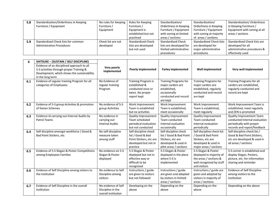| 5.8 | Standardization/Orderliness in Keeping | No rules for Keeping | Rules for Keeping         | Standardization/          | Standardization/                | Standardization/ Orderliness |
|-----|----------------------------------------|----------------------|---------------------------|---------------------------|---------------------------------|------------------------------|
|     | Furniture / Equipment                  | Furniture /          | Furniture /               | Orderliness in Keeping    | Orderliness in Keeping          | in Keeping Furniture /       |
|     |                                        | Equipment            | Equipment is              | Furniture / Equipment     | Furniture / Equipment           | Equipment with zoning at all |
|     |                                        |                      | established but not       | with zoning at limited    | with zoning at majority         | areas / sections             |
|     |                                        |                      | practiced                 | areas / sections          | of areas / sections             |                              |
| 5.9 | Standardized Check lists for common    | Check list are not   | <b>Standardized Check</b> | <b>Standardized Check</b> | <b>Standardized Check lists</b> | Standardized Check lists are |
|     | <b>Administrative Procedures</b>       | developed            | lists are developed       | lists are developed for   | are developed for               | developed for all            |
|     |                                        |                      | but not used              | limited administrative    | major administrative            | administrative procedures &  |
|     |                                        |                      |                           | procedures                | procedures                      | effectively used             |

| 6   | <b>SHITSUKE - (SUSTAIN / SELF DISCIPLINE)</b><br>Evidence of an disciplined approach to all<br>5-S activities through proper Training &<br>Development, which shows the sustainability | Very poorly<br>implemented                                      | <b>Poorly implemented</b>                                                                                 | <b>Farley implemented</b>                                                                                              | Well implemented                                                                                                       | Very well implemented                                                                                                       |
|-----|----------------------------------------------------------------------------------------------------------------------------------------------------------------------------------------|-----------------------------------------------------------------|-----------------------------------------------------------------------------------------------------------|------------------------------------------------------------------------------------------------------------------------|------------------------------------------------------------------------------------------------------------------------|-----------------------------------------------------------------------------------------------------------------------------|
| 6.1 | in the long term<br>Evidence of regular training Program for all<br>categories of Employees                                                                                            | No Evidence of<br>regular training<br>Program                   | Training Program is<br>established &<br>conducted once or<br>twice. No proper<br>report kept              | <b>Training Programs for</b><br>major carders are<br>established,<br>occasionally<br>conducted and record<br>are kept  | <b>Training Programs for</b><br>major carders are<br>established, regularly<br>conducted and record<br>are kept        | <b>Training Programs for all</b><br>carders are established,<br>regularly conducted and<br>record are kept                  |
| 6.2 | Evidence of 5-S group Activities & promotion<br>of Kaizen Schemes                                                                                                                      | No evidence of 5-S<br>group Activities                          | Work Improvement<br>Team is established<br>but no activities                                              | Work Improvement<br>Team is established,<br>meet occasionally                                                          | Work Improvement<br>Team is established,<br>meet regularly                                                             | Work Improvement Team is<br>established, meet regularly<br>and ZEN is promoted                                              |
| 6.3 | Evidence id carrying out Internal Audits by<br><b>Patrol Teams</b>                                                                                                                     | No evidence in<br>carrying out<br><b>Internal Audits</b>        | Quality Improvement<br>Team scheduled<br>periodical evaluation<br>but not conducted                       | Quality Improvement<br>Team conducted<br>Internal evaluation<br>occasionally                                           | <b>Quality Improvement</b><br>Team conducted<br>Internal evaluation<br>periodically                                    | <b>Quality Improvement Team</b><br>conducted Internal evaluation<br>periodically with proper<br>records and report/feedback |
| 6.4 | Self discipline amongst workforce / Good &<br>Bad Point Stickers, etc                                                                                                                  | No self-discipline<br>measure taken<br>among stuff              | Self discipline check<br>list / Good & Bad<br>Point Stickers, etc are<br>developed but not in<br>practice | Self discipline check<br>list / Good & Bad Point<br>Stickers, etc are<br>developed & used in<br>pilot areas / sections | Self discipline check list<br>/ Good & Bad Point<br>Stickers, etc are<br>developed & used in<br>major areas / sections | Self discipline check list /<br>Good & Bad Point Stickers,<br>etc are developed & used in<br>all areas / sections           |
| 6.5 | Evidence of 5-S Slogan & Poster Competitions<br>among Employees Families                                                                                                               | No evidence on 5-S<br>Slogan & Poster<br>displayed              | 5-S Slogan & Poster<br>displayed but not in<br>effective way or<br>difficult to be<br>recognized          | 5-S Slogan & Poster<br>displayed in the place<br>where 5-S is<br>implemented                                           | 5-S Slogan & Poster<br>displayed in majority of<br>the areas / sections &<br>well recognized by stuff<br>and visitors  | 5-S corner is established and<br>display Slogan, Posters,<br>picture, etc. for information<br>sharing and reminder          |
| 6.6 | Evidence of Self Discipline among visitors to<br>the institution                                                                                                                       | No evidence to Self<br>Discipline among<br>visitors             | Instructions / guide<br>are given to visitors<br>but not followed                                         | Instructions / guide<br>are given and adopted<br>by visitors in limited<br>areas / sections                            | Instructions / guide are<br>given and adopted by<br>visitors in majority of<br>areas / sections                        | <b>Evidence of Self Discipline</b><br>among visitors to the<br>institution                                                  |
| 6.7 | Evidence of Self Discipline in the overall<br>institution                                                                                                                              | No evidence of Self<br>Discipline in the<br>overall institution | Developing on the<br>above                                                                                | Depending on the<br>above                                                                                              | Depending on the<br>above                                                                                              | Depending on the above                                                                                                      |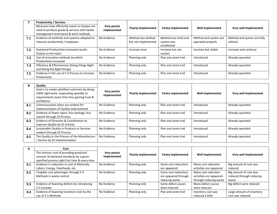|     | <b>Productivity / Services</b>                                                                |                            |                           |                           |                       |                             |
|-----|-----------------------------------------------------------------------------------------------|----------------------------|---------------------------|---------------------------|-----------------------|-----------------------------|
|     | Measures how efficiently Inputs to Output are<br>used to produce goods & services with better | Very poorly<br>implemented | <b>Poorly implemented</b> | <b>Farley implemented</b> | Well implemented      | Very well implemented       |
|     | management techniques & work methods                                                          |                            |                           |                           |                       |                             |
| 7.1 | Evidence of methods and systems adopted to                                                    | No Evidence                | Method was drafted        | Method was tried and      | Method and system are | Method and system are fully |
|     | improve productivity / employee                                                               |                            | but not implemented       | system was                | operated properly     | utilized                    |
|     |                                                                                               |                            |                           | established               |                       |                             |
| 7.2 | Sustained Productivity increased results                                                      | No Evidence                | Increase once             | Increase but not          | Increase but stable   | Increase and continue       |
|     | Output to the Input                                                                           |                            |                           | sustain                   |                       |                             |
| 7.3 | Use of innovative methods by which                                                            | No Evidence                | Planning only             | Plan and some trial       | Introduced            | Already operated            |
|     | Productivity increased                                                                        |                            |                           |                           |                       |                             |
| 7.4 | Efficiency & Effectiveness (Doing things Right                                                | No Evidence                | Planning only             | Plan and some trial       | Introduced            | Already operated            |
|     | and Doing the Right things)                                                                   |                            |                           |                           |                       |                             |
| 7.5 | Evidence in the use of 5-S Process to increase                                                | No Evidence                | Planning only             | Plan and some trial       | Introduced            | Already operated            |
|     | Productivity                                                                                  |                            |                           |                           |                       |                             |

| 8   | Quality<br>Goal is to create satisfied customers by doing<br>100% right work, responding speedily to<br>requirements every time thus gaining trust &<br>confidence | Very poorly<br>implemented | <b>Poorly implemented</b> | <b>Farley implemented</b> | Well implemented | Very well implemented |
|-----|--------------------------------------------------------------------------------------------------------------------------------------------------------------------|----------------------------|---------------------------|---------------------------|------------------|-----------------------|
| 8.1 | Communication plans are evident for<br>implementation of Quality Improvement                                                                                       | No Evidence                | Planning only             | Plan and some trial       | Introduced       | Already operated      |
| 8.2 | Evidence of fewer reject, less wastage, less<br>rework through 5S Process                                                                                          | No Evidence                | Planning only             | Plan and some trial       | Introduced       | Already operated      |
| 8.3 | Evidence of Direction & Coordination to<br>improve Quality by 5S Activity                                                                                          | No Evidence                | Planning only             | Plan and some trial       | Introduced       | Already operated      |
| 8.4 | Sustainable Quality in Products or Services<br>evident through 5S Process                                                                                          | No Evidence                | Planning only             | Plan and some trial       | Introduced       | Already operated      |
| 8.5 | The Quality in the Process of the Manufacture<br>/ Service by 5S implementation                                                                                    | No Evidence                | Planning only             | Plan and some trial       | Introduced       | Already operated      |

| 9   | Cost                                                                                   |                            |                           |                           |                         |                           |
|-----|----------------------------------------------------------------------------------------|----------------------------|---------------------------|---------------------------|-------------------------|---------------------------|
|     | The intrinsic cost of providing products/<br>services 10 declared standards by a given | Very poorly<br>implemented | <b>Poorly implemented</b> | <b>Farley implemented</b> | Well implemented        | Very well implemented     |
|     | specified process right first time & every time                                        |                            |                           |                           |                         |                           |
| 9.1 | Evidence in reduction in cost of Materials,                                            | No Evidence                | Planning only             | Some cost reductions      | Many cost reduction     | Big amount of cost was    |
|     | Labors, Energy, Overheads, etc                                                         |                            |                           | are appeared              | activities are appeared | reduced                   |
| 9.2 | Tangible cost advantages through 5-S                                                   | No Evidence                | Planning only             | Some cost reductions      | Many cost reduction     | Big amount of cost was    |
|     | Methods in waste control                                                               |                            |                           | are appeared through      | activities are appeared | reduced through reducing  |
|     |                                                                                        |                            |                           | reducing waste            | through reducing waste  | waste                     |
| 9.3 | Evidence of lowering defects by introducing                                            | No Evidence                | Planning only             | Some defect causes        | Many defect causes      | Big defect were reduced   |
|     | 5-S Concept                                                                            |                            |                           | were reduced              | were reduced            |                           |
| 9.4 | Evidence of lowering Inventory Cost by the                                             | No Evidence                | Planning only             | Plan and some trial       | Inventory cost was      | Large amount of inventory |
|     | use of 5-S Methods                                                                     |                            |                           |                           | reduced a little        | cost was reduced          |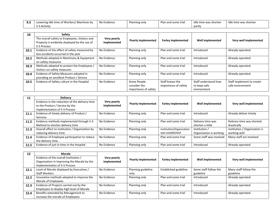| $\Omega$ C<br>J.J | of Workers/ I<br>/ Machines by<br>Lowering idle time c | No Evidence | Planning only | Plan and some trial | Idle time was shorten | Idle time was shorten |
|-------------------|--------------------------------------------------------|-------------|---------------|---------------------|-----------------------|-----------------------|
|                   | -S Activity ک-د                                        |             |               |                     | partly                |                       |

| 10   | Safety                                                                                                        |                            |                                                     |                                         |                                                     |                                               |
|------|---------------------------------------------------------------------------------------------------------------|----------------------------|-----------------------------------------------------|-----------------------------------------|-----------------------------------------------------|-----------------------------------------------|
|      | The overall safety to Employees, Visitors and<br>Property is evidently displayed by the use of<br>5-S Process | Very poorly<br>implemented | <b>Poorly implemented</b>                           | <b>Farley implemented</b>               | Well implemented                                    | Very well implemented                         |
| 10.1 | Evidence of the effect of safety measured by<br>less accidents occurred in the year                           | No Evidence                | Planning only                                       | Plan and some trial                     | Introduced                                          | Already operated                              |
| 10.2 | Methods adopted in Machinery & Equipment<br>on safety measures                                                | No Evidence                | Planning only                                       | Plan and some trial                     | Introduced                                          | Already operated                              |
| 10.3 | Methods adopted to protect the Employees /<br>Visitors on safety measures                                     | No Evidence                | Planning only                                       | Plan and some trial                     | Introduced                                          | Already operated                              |
| 10.4 | Evidence of Safety Measures adopted in<br>providing an excellent Product / Service                            | No Evidence                | Planning only                                       | Plan and some trial                     | Introduced                                          | Already operated                              |
| 10.5 | Evidence of Safety culture in the Hospital                                                                    | No Evidence                | Some People<br>consider the<br>importance of safety | Staff knows the<br>importance of safety | Staff understand how<br>to keep safe<br>environment | Staff implement to create<br>safe environment |

| 11   | <b>Delivery</b>                                                  |                            |                           |                           |                         |                               |
|------|------------------------------------------------------------------|----------------------------|---------------------------|---------------------------|-------------------------|-------------------------------|
|      | Evidence in the reduction of the delivery time                   | Very poorly<br>implemented | <b>Poorly implemented</b> | <b>Farley implemented</b> | Well implemented        | Very well implemented         |
|      | to the Product / Service by the<br>implementation of 5-S Process |                            |                           |                           |                         |                               |
| 11.1 | Evidence of timely delivery of Product /                         | No Evidence                | Planning only             | Plan and some trial       | Introduced              | Already deliver timely        |
|      | Services                                                         |                            |                           |                           |                         |                               |
| 11.2 | Evidence methods implemented through 5-S                         | No Evidence                | Planning only             | Plan and some trial       | Delivery time was       | Delivery time was shorted     |
|      | Method to shorten delivery time                                  |                            |                           |                           | shorten a little        | drastically                   |
| 11.3 | Overall effect to Institution / Organization by                  | No Evidence                | Planning only             | Institution/Organization  | Institution /           | Institution / Organization is |
|      | reducing delivery time                                           |                            |                           | was established           | Organization is working | working well                  |
| 11.4 | Evidence of Employee participation to reduce                     | No Evidence                | Planning only             | Plan and some trial       | Some staff was involved | Many staff are involved       |
|      | the delivery time                                                |                            |                           |                           |                         |                               |
| 11.5 | Evidence of just in time in the Hospital                         | No Evidence                | Planning only             | Plan and some trial       | Introduced              | Already operated              |

| 12   | <b>Morale</b>                               |             |                           |                           |                       |                       |
|------|---------------------------------------------|-------------|---------------------------|---------------------------|-----------------------|-----------------------|
|      | Evidence of the overall Institution /       | Very poorly | <b>Poorly implemented</b> | <b>Farley implemented</b> | Well implemented      | Very well implemented |
|      | Organization in Improving the Morale by the | implemented |                           |                           |                       |                       |
|      | Implementation of 5-S Process               |             |                           |                           |                       |                       |
| 12.1 | Level of Morale displayed by Executives /   | No Evidence | Planning guideline        | Established guideline     | Some staff follow the | Many staff follow the |
|      | <b>Staff Workers</b>                        |             | only                      |                           | guideline             | guideline             |
| 12.2 | Innovative methods adopted to improve the   | No Evidence | Planning only             | Plan and some trial       | Introduced            | Already operated      |
|      | Morale of Employees                         |             |                           |                           |                       |                       |
| 12.3 | Evidence of Projects carried out by the     | No Evidence | Planning only             | Plan and some trial       | Introduced            | Already operated      |
|      | Employees to display high level of Morale   |             |                           |                           |                       |                       |
| 12.4 | Benefits extended by Management to          | No Evidence | Planning only             | Plan and some trial       | Introduced            | Already operated      |
|      | increase the morale of Employees            |             |                           |                           |                       |                       |